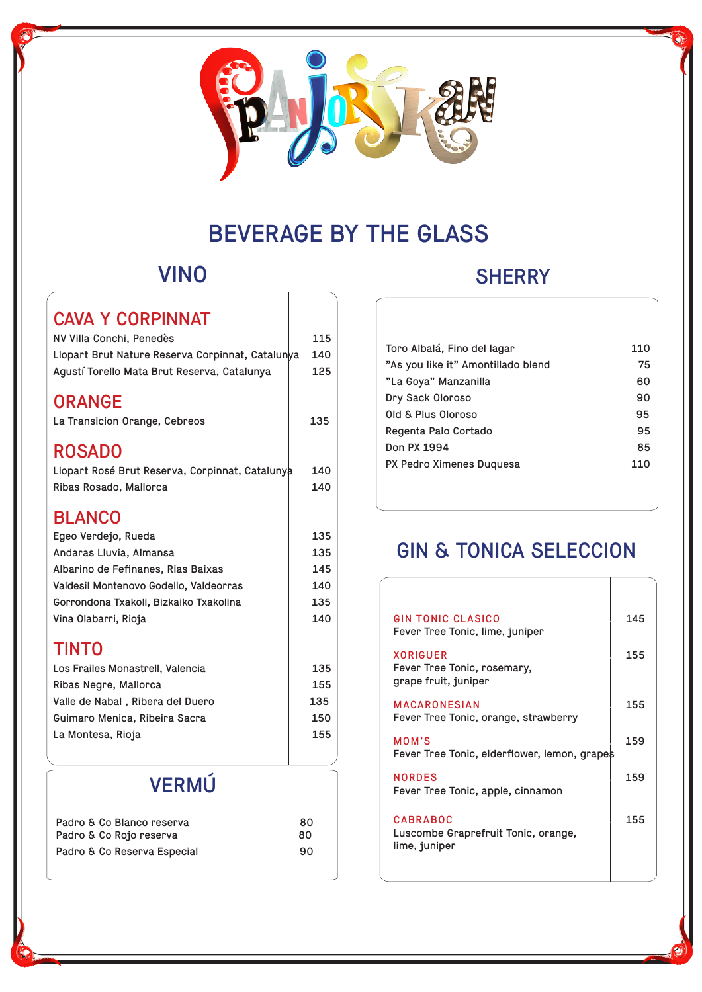

# **BEVERAGE BY THE GLASS**

# **VINO**

#### **CAVA Y CORPINNAT**

| NV Villa Conchi, Penedès<br>Llopart Brut Nature Reserva Corpinnat, Catalunya<br>Agustí Torello Mata Brut Reserva, Catalunya                                         | 115<br>140<br>125               |
|---------------------------------------------------------------------------------------------------------------------------------------------------------------------|---------------------------------|
| <b>ORANGE</b><br>La Transicion Orange, Cebreos                                                                                                                      | 135                             |
| <b>ROSADO</b><br>Llopart Rosé Brut Reserva, Corpinnat, Catalunya<br>Ribas Rosado, Mallorca                                                                          | 140<br>140                      |
| <b>BLANCO</b><br>Egeo Verdejo, Rueda<br>Andaras Lluvia, Almansa<br>Albarino de Fefinanes, Rias Baixas                                                               | 135<br>135<br>145               |
| Valdesil Montenovo Godello, Valdeorras<br>Gorrondona Txakoli, Bizkaiko Txakolina<br>Vina Olabarri, Rioja                                                            | 140<br>135<br>140               |
| <b>TINTO</b><br>Los Frailes Monastrell, Valencia<br>Ribas Negre, Mallorca<br>Valle de Nabal, Ribera del Duero<br>Guimaro Menica, Ribeira Sacra<br>La Montesa, Rioja | 135<br>155<br>135<br>150<br>155 |
| <b>VERMÚ</b>                                                                                                                                                        |                                 |

| Padro & Co Blanco reserva   | 80 |
|-----------------------------|----|
| Padro & Co Rojo reserva     | 80 |
| Padro & Co Reserva Especial | 90 |
|                             |    |

#### **SHERRY**

#### Toro Albalá, Fino del lagar 110 "As you like it" Amontillado blend 75 "La Goya" Manzanilla 60 Dry Sack Oloroso 90 Old & Plus Oloroso 95 Regenta Palo Cortado 95 Don PX 1994 85 PX Pedro Ximenes Duquesa 110

### **GIN & TONICA SELECCION**

 $\mathbf{I}$ 

| <b>GIN TONIC CLASICO</b><br>Fever Tree Tonic, lime, juniper             | 145 |
|-------------------------------------------------------------------------|-----|
| <b>XORIGUER</b><br>Fever Tree Tonic, rosemary,<br>grape fruit, juniper  | 155 |
| <b>MACARONESIAN</b><br>Fever Tree Tonic, orange, strawberry             | 155 |
| MOM'S<br>Fever Tree Tonic, elderflower, lemon, grapes                   | 159 |
| <b>NORDES</b><br>Fever Tree Tonic, apple, cinnamon                      | 159 |
| <b>CABRABOC</b><br>Luscombe Graprefruit Tonic, orange,<br>lime, juniper | 155 |